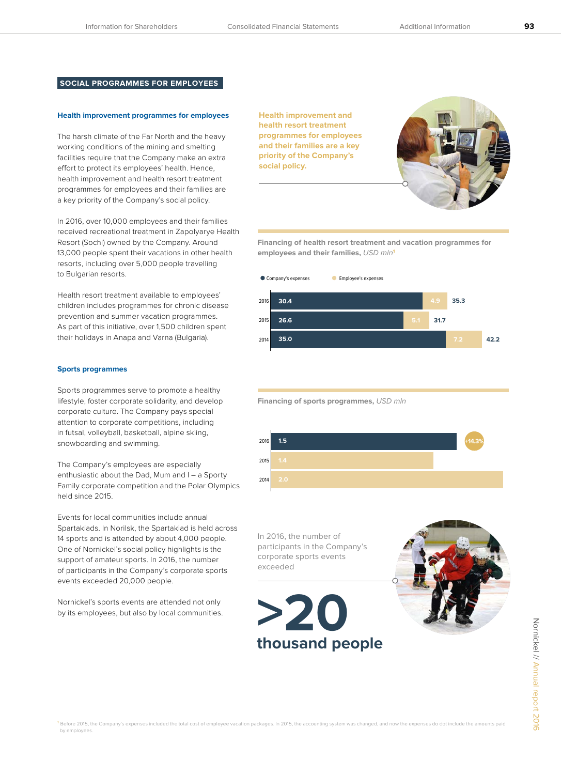# **SOCIAL PROGRAMMES FOR EMPLOYEES**

# **Health improvement programmes for employees**

The harsh climate of the Far North and the heavy working conditions of the mining and smelting facilities require that the Company make an extra effort to protect its employees' health. Hence, health improvement and health resort treatment programmes for employees and their families are a key priority of the Company's social policy.

In 2016, over 10,000 employees and their families received recreational treatment in Zapolyarye Health Resort (Sochi) owned by the Company. Around 13,000 people spent their vacations in other health resorts, including over 5,000 people travelling to Bulgarian resorts.

Health resort treatment available to employees' children includes programmes for chronic disease prevention and summer vacation programmes. As part of this initiative, over 1,500 children spent their holidays in Anapa and Varna (Bulgaria).

# **Sports programmes**

Sports programmes serve to promote a healthy lifestyle, foster corporate solidarity, and develop corporate culture. The Company pays special attention to corporate competitions, including in futsal, volleyball, basketball, alpine skiing, snowboarding and swimming.

The Company's employees are especially enthusiastic about the Dad, Mum and I – a Sporty Family corporate competition and the Polar Olympics held since 2015.

Events for local communities include annual Spartakiads. In Norilsk, the Spartakiad is held across 14 sports and is attended by about 4,000 people. One of Nornickel's social policy highlights is the support of amateur sports. In 2016, the number of participants in the Company's corporate sports events exceeded 20,000 people.

Nornickel's sports events are attended not only by its employees, but also by local communities. **Health improvement and health resort treatment programmes for employees and their families are a key priority of the Company's social policy.** 



**Financing of health resort treatment and vacation programmes for employees and their families,** USD mln**<sup>1</sup>**



**Financing of sports programmes,** USD mln



In 2016, the number of participants in the Company's corporate sports events exceeded



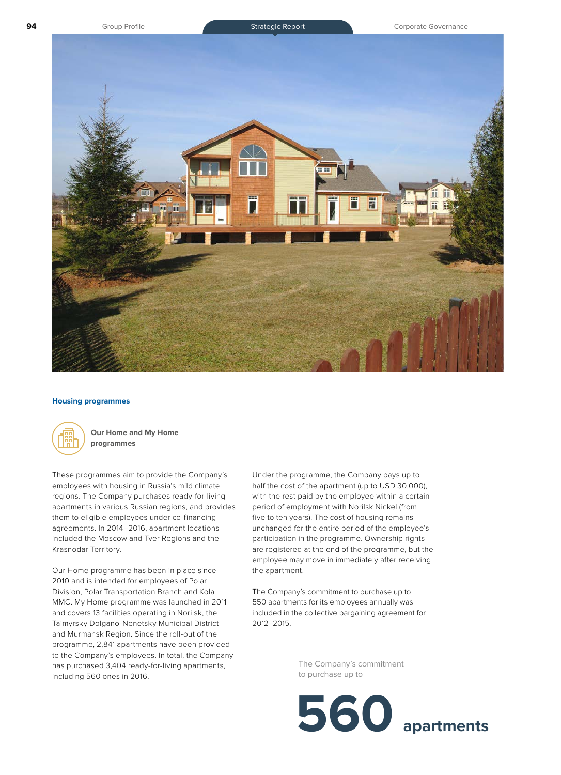

#### **Housing programmes**



**Our Home and My Home programmes**

These programmes aim to provide the Company's employees with housing in Russia's mild climate regions. The Company purchases ready-for-living apartments in various Russian regions, and provides them to eligible employees under co-financing agreements. In 2014–2016, apartment locations included the Moscow and Tver Regions and the Krasnodar Territory.

Our Home programme has been in place since 2010 and is intended for employees of Polar Division, Polar Transportation Branch and Kola MMC. My Home programme was launched in 2011 and covers 13 facilities operating in Norilsk, the Taimyrsky Dolgano-Nenetsky Municipal District and Murmansk Region. Since the roll-out of the programme, 2,841 apartments have been provided to the Company's employees. In total, the Company has purchased 3,404 ready-for-living apartments, including 560 ones in 2016.

Under the programme, the Company pays up to half the cost of the apartment (up to USD 30,000), with the rest paid by the employee within a certain period of employment with Norilsk Nickel (from five to ten years). The cost of housing remains unchanged for the entire period of the employee's participation in the programme. Ownership rights are registered at the end of the programme, but the employee may move in immediately after receiving the apartment.

The Company's commitment to purchase up to 550 apartments for its employees annually was included in the collective bargaining agreement for 2012–2015.

> The Company's commitment to purchase up to